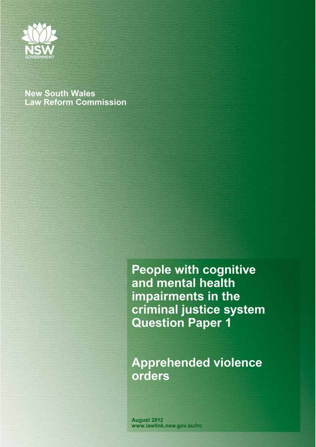

# **New South Wales Law Reform Commission**

**People with cognitive** and mental health impairments in the criminal justice system **Question Paper 1** 

**Apprehended violence** orders

August 2012 www.lawlink.nsw.gov.au/Irc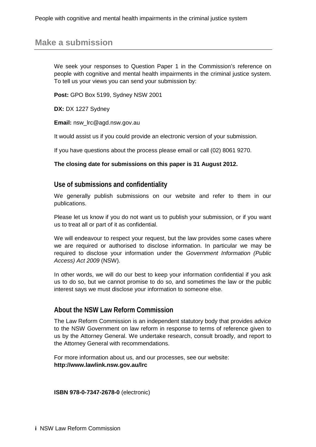# **Make a submission**

We seek your responses to Question Paper 1 in the Commission's reference on people with cognitive and mental health impairments in the criminal justice system. To tell us your views you can send your submission by:

**Post:** GPO Box 5199, Sydney NSW 2001

**DX: DX 1227 Sydney** 

**Email:** nsw\_lrc@agd.nsw.gov.au

It would assist us if you could provide an electronic version of your submission.

If you have questions about the process please email or call (02) 8061 9270.

#### **The closing date for submissions on this paper is 31 August 2012.**

#### **Use of submissions and confidentiality**

We generally publish submissions on our website and refer to them in our publications.

Please let us know if you do not want us to publish your submission, or if you want us to treat all or part of it as confidential.

We will endeavour to respect your request, but the law provides some cases where we are required or authorised to disclose information. In particular we may be required to disclose your information under the *Government Information (Public Access) Act 2009* (NSW).

In other words, we will do our best to keep your information confidential if you ask us to do so, but we cannot promise to do so, and sometimes the law or the public interest says we must disclose your information to someone else.

## **About the NSW Law Reform Commission**

The Law Reform Commission is an independent statutory body that provides advice to the NSW Government on law reform in response to terms of reference given to us by the Attorney General. We undertake research, consult broadly, and report to the Attorney General with recommendations.

For more information about us, and our processes, see our website: **<http://www.lawlink.nsw.gov.au/lrc>**

**ISBN 978-0-7347-2678-0** (electronic)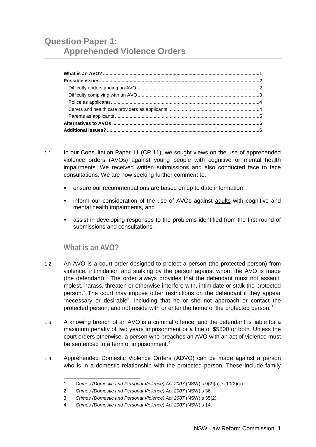- 1.1 In our Consultation Paper 11 (CP 11), we sought views on the use of apprehended violence orders (AVOs) against young people with cognitive or mental health impairments. We received written submissions and also conducted face to face consultations. We are now seeking further comment to:
	- ensure our recommendations are based on up to date information
	- **number 1** inform our consideration of the use of AVOs against adults with cognitive and mental health impairments, and
	- assist in developing responses to the problems identified from the first round of submissions and consultations.

## <span id="page-2-0"></span>**What is an AVO?**

-

- 1.2 An AVO is a court order designed to protect a person (the protected person) from violence, intimidation and stalking by the person against whom the AVO is made (the defendant).<sup>[1](#page-2-1)</sup> The order always provides that the defendant must not assault, molest, harass, threaten or otherwise interfere with, intimidate or stalk the protected person.[2](#page-2-2) The court may impose other restrictions on the defendant if they appear "necessary or desirable", including that he or she not approach or contact the protected person, and not reside with or enter the home of the protected person.<sup>[3](#page-2-3)</sup>
- 1.3 A knowing breach of an AVO is a criminal offence, and the defendant is liable for a maximum penalty of two years imprisonment or a fine of \$5500 or both. Unless the court orders otherwise, a person who breaches an AVO with an act of violence must be sentenced to a term of imprisonment.<sup>[4](#page-2-4)</sup>
- <span id="page-2-3"></span><span id="page-2-2"></span><span id="page-2-1"></span>1.4 Apprehended Domestic Violence Orders (ADVO) can be made against a person who is in a domestic relationship with the protected person. These include family

<sup>1.</sup> *Crimes (Domestic and Personal Violence) Act 2007* (NSW) s 9(2)(a), s 10(2)(a).

<sup>2.</sup> *Crimes (Domestic and Personal Violence) Act 2007* (NSW) s 36.

<sup>3.</sup> *Crimes (Domestic and Personal Violence) Act 2007* (NSW) s 35(2).

<span id="page-2-4"></span><sup>4.</sup> *Crimes (Domestic and Personal Violence) Act 2007* (NSW) s 14.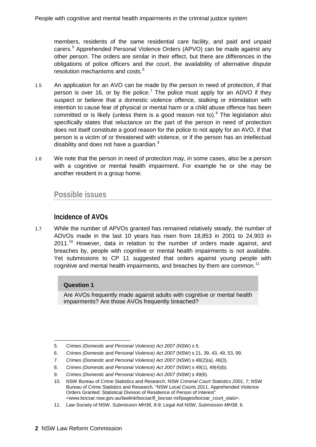members, residents of the same residential care facility, and paid and unpaid carers.[5](#page-3-2) Apprehended Personal Violence Orders (APVO) can be made against any other person. The orders are similar in their effect, but there are differences in the obligations of police officers and the court, the availability of alternative dispute resolution mechanisms and costs.<sup>[6](#page-3-3)</sup>

- 1.5 An application for an AVO can be made by the person in need of protection, if that person is over 16, or by the police.<sup>[7](#page-3-4)</sup> The police must apply for an ADVO if they suspect or believe that a domestic violence offence, stalking or intimidation with intention to cause fear of physical or mental harm or a child abuse offence has been committed or is likely (unless there is a good reason not to).<sup>[8](#page-3-5)</sup> The legislation also specifically states that reluctance on the part of the person in need of protection does not itself constitute a good reason for the police to not apply for an AVO, if that person is a victim of or threatened with violence, or if the person has an intellectual disability and does not have a quardian.<sup>[9](#page-3-6)</sup>
- 1.6 We note that the person in need of protection may, in some cases, also be a person with a cognitive or mental health impairment. For example he or she may be another resident in a group home.

## <span id="page-3-0"></span>**Possible issues**

## **Incidence of AVOs**

<span id="page-3-1"></span>1.7 While the number of APVOs granted has remained relatively steady, the number of ADVOs made in the last 10 years has risen from 18,853 in 2001 to 24,903 in  $2011.<sup>10</sup>$  $2011.<sup>10</sup>$  $2011.<sup>10</sup>$  However, data in relation to the number of orders made against, and breaches by, people with cognitive or mental health impairments is not available. Yet submissions to CP 11 suggested that orders against young people with cognitive and mental health impairments, and breaches by them are common.<sup>[11](#page-3-8)</sup>

#### **Question 1**

Are AVOs frequently made against adults with cognitive or mental health impairments? Are those AVOs frequently breached?

<span id="page-3-2"></span><sup>-</sup>5. *Crimes (Domestic and Personal Violence) Act 2007* (NSW) s 5.

<span id="page-3-3"></span><sup>6.</sup> *Crimes (Domestic and Personal Violence) Act 2007* (NSW) s 21, 39, 43, 49, 53, 99.

<span id="page-3-4"></span><sup>7.</sup> *Crimes (Domestic and Personal Violence) Act 2007* (NSW) s 48(2)(a), 48(3).

<span id="page-3-5"></span><sup>8.</sup> *Crimes (Domestic and Personal Violence) Act 2007* (NSW) s 49(1), 49(4)(b).

<span id="page-3-7"></span><span id="page-3-6"></span><sup>9.</sup> *Crimes (Domestic and Personal Violence) Act 2007 (NSW) s 49(6).* 

<sup>10.</sup> NSW Bureau of Crime Statistics and Research, NSW *Criminal Court Statistics 2001*, 7; NSW Bureau of Crime Statistics and Research, "NSW Local Courts 2011, Apprehended Violence Orders Granted: Statistical Division of Residence of Person of Interest" [<www.bocsar.nsw.gov.au/lawlink/bocsar/ll\\_bocsar.nsf/pages/bocsar\\_court\\_stats>](http://www.bocsar.nsw.gov.au/lawlink/bocsar/ll_bocsar.nsf/pages/bocsar_court_stats).

<span id="page-3-8"></span><sup>11.</sup> Law Society of NSW, *Submission MH36*, 8-9; Legal Aid NSW, *Submission MH38*, 6.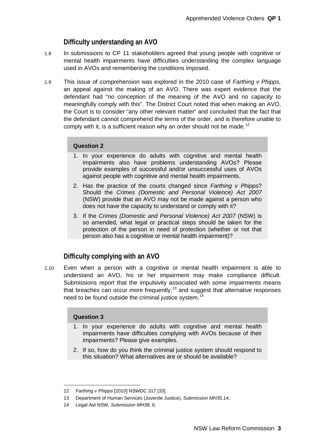## **Difficulty understanding an AVO**

- 1.8 In submissions to CP 11 stakeholders agreed that young people with cognitive or mental health impairments have difficulties understanding the complex language used in AVOs and remembering the conditions imposed.
- 1.9 This issue of comprehension was explored in the 2010 case of *Farthing v Phipps,*  an appeal against the making of an AVO. There was expert evidence that the defendant had "no conception of the meaning of the AVO and no capacity to meaningfully comply with this". The District Court noted that when making an AVO, the Court is to consider "any other relevant matter" and concluded that the fact that the defendant cannot comprehend the terms of the order, and is therefore unable to comply with it, is a sufficient reason why an order should not be made.<sup>[12](#page-4-1)</sup>

#### **Question 2**

- 1. In your experience do adults with cognitive and mental health impairments also have problems understanding AVOs? Please provide examples of successful and/or unsuccessful uses of AVOs against people with cognitive and mental health impairments.
- 2. Has the practice of the courts changed since *Farthing v Phipps*? Should the *Crimes (Domestic and Personal Violence) Act 2007*  (NSW) provide that an AVO may not be made against a person who does not have the capacity to understand or comply with it?
- 3. If the *Crimes (Domestic and Personal Violence) Act 2007* (NSW) is so amended, what legal or practical steps should be taken for the protection of the person in need of protection (whether or not that person also has a cognitive or mental health impairment)?

## <span id="page-4-0"></span>**Difficulty complying with an AVO**

1.10 Even when a person with a cognitive or mental health impairment is able to understand an AVO, his or her impairment may make compliance difficult. Submissions report that the impulsivity associated with some impairments means that breaches can occur more frequently,<sup>[13](#page-4-2)</sup> and suggest that alternative responses need to be found outside the criminal justice system.<sup>[14](#page-4-3)</sup>

#### **Question 3**

- 1. In your experience do adults with cognitive and mental health impairments have difficulties complying with AVOs because of their impairments? Please give examples.
- 2. If so, how do you think the criminal justice system should respond to this situation? What alternatives are or should be available?

<span id="page-4-1"></span><sup>-</sup>12 *Farthing v Phipps* [2010] NSWDC 317 [33].

<span id="page-4-2"></span><sup>13</sup> Department of Human Services (Juvenile Justice), *Submission MH35*,14.

<span id="page-4-3"></span><sup>14</sup> Legal Aid NSW, *Submission MH38*, 6.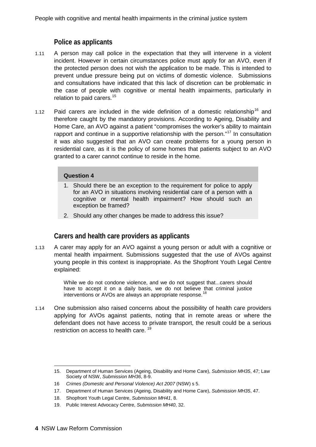## **Police as applicants**

- <span id="page-5-0"></span>1.11 A person may call police in the expectation that they will intervene in a violent incident. However in certain circumstances police must apply for an AVO, even if the protected person does not wish the application to be made. This is intended to prevent undue pressure being put on victims of domestic violence. Submissions and consultations have indicated that this lack of discretion can be problematic in the case of people with cognitive or mental health impairments, particularly in relation to paid carers.<sup>[15](#page-5-2)</sup>
- 1.12 Paid carers are included in the wide definition of a domestic relationship<sup>[16](#page-5-3)</sup> and therefore caught by the mandatory provisions. According to Ageing, Disability and Home Care, an AVO against a patient "compromises the worker's ability to maintain rapport and continue in a supportive relationship with the person."<sup>[17](#page-5-4)</sup> In consultation it was also suggested that an AVO can create problems for a young person in residential care, as it is the policy of some homes that patients subject to an AVO granted to a carer cannot continue to reside in the home.

#### **Question 4**

- 1. Should there be an exception to the requirement for police to apply for an AVO in situations involving residential care of a person with a cognitive or mental health impairment? How should such an exception be framed?
- 2. Should any other changes be made to address this issue?

## **Carers and health care providers as applicants**

<span id="page-5-1"></span>1.13 A carer may apply for an AVO against a young person or adult with a cognitive or mental health impairment. Submissions suggested that the use of AVOs against young people in this context is inappropriate. As the Shopfront Youth Legal Centre explained:

> While we do not condone violence, and we do not suggest that...carers should have to accept it on a daily basis, we do not believe that criminal justice interventions or AVOs are always an appropriate response.<sup>[18](#page-5-5)</sup>

1.14 One submission also raised concerns about the possibility of health care providers applying for AVOs against patients, noting that in remote areas or where the defendant does not have access to private transport, the result could be a serious restriction on access to health care.<sup>[19](#page-5-6)</sup>

<span id="page-5-2"></span><sup>-</sup>15. Department of Human Services (Ageing, Disability and Home Care), *Submission MH35*, 47; Law Society of NSW, *Submission MH36*, 8-9.

<span id="page-5-3"></span><sup>16</sup> *Crimes (Domestic and Personal Violence) Act 2007* (NSW) s 5.

<span id="page-5-4"></span><sup>17.</sup> Department of Human Services (Ageing, Disability and Home Care), *Submission MH35*, 47.

<span id="page-5-5"></span><sup>18.</sup> Shopfront Youth Legal Centre, *Submission MH41*, 8.

<span id="page-5-6"></span><sup>19.</sup> Public Interest Advocacy Centre, *Submission MH40*, 32.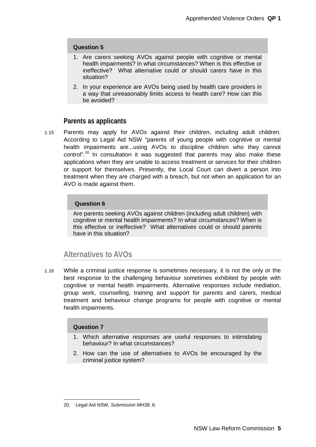#### **Question 5**

- 1. Are carers seeking AVOs against people with cognitive or mental health impairments? In what circumstances? When is this effective or ineffective? What alternative could or should carers have in this situation?
- 2. In your experience are AVOs being used by health care providers in a way that unreasonably limits access to health care? How can this be avoided?

#### **Parents as applicants**

<span id="page-6-0"></span>1.15 Parents may apply for AVOs against their children, including adult children. According to Legal Aid NSW "parents of young people with cognitive or mental health impairments are...using AVOs to discipline children who they cannot control".<sup>[20](#page-6-2)</sup> In consultation it was suggested that parents may also make these applications when they are unable to access treatment or services for their children or support for themselves. Presently, the Local Court can divert a person into treatment when they are charged with a breach, but not when an application for an AVO is made against them.

#### **Question 6**

Are parents seeking AVOs against children (including adult children) with cognitive or mental health impairments? In what circumstances? When is this effective or ineffective? What alternatives could or should parents have in this situation?

## <span id="page-6-1"></span>**Alternatives to AVOs**

1.16 While a criminal justice response is sometimes necessary, it is not the only or the best response to the challenging behaviour sometimes exhibited by people with cognitive or mental health impairments. Alternative responses include mediation, group work, counselling, training and support for parents and carers, medical treatment and behaviour change programs for people with cognitive or mental health impairments.

#### **Question 7**

- 1. Which alternative responses are useful responses to intimidating behaviour? In what circumstances?
- 2. How can the use of alternatives to AVOs be encouraged by the criminal justice system?

<span id="page-6-2"></span><sup>-</sup>20. Legal Aid NSW, *Submission MH38,* 6.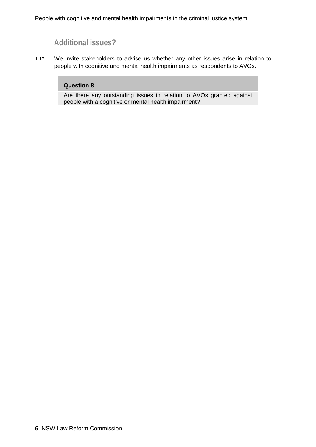# **Additional issues?**

<span id="page-7-0"></span>1.17 We invite stakeholders to advise us whether any other issues arise in relation to people with cognitive and mental health impairments as respondents to AVOs.

#### **Question 8**

Are there any outstanding issues in relation to AVOs granted against people with a cognitive or mental health impairment?